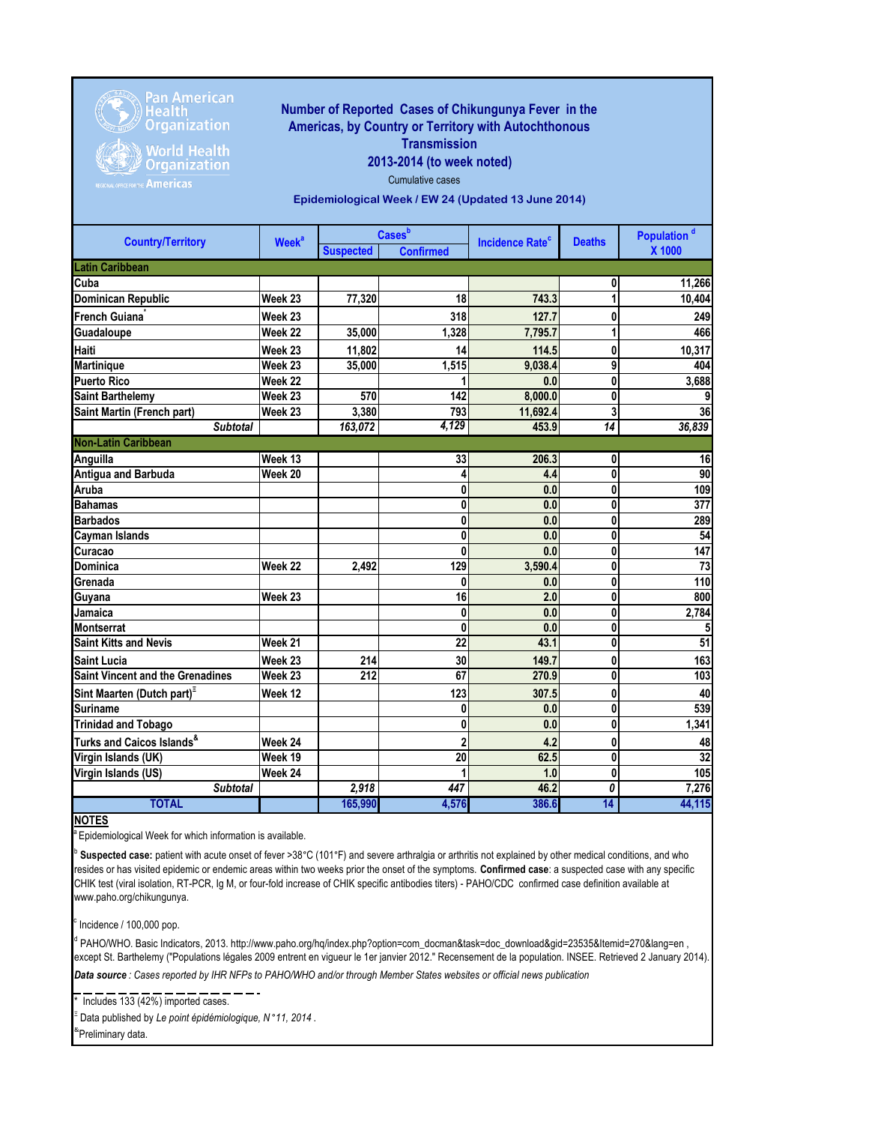

Pan American<br>Health<br>Organization

Organization **Americas** 

## **Number of Reported Cases of Chikungunya Fever in the Americas, by Country or Territory with Autochthonous Transmission**

**2013-2014 (to week noted)**

Cumulative cases

**Epidemiological Week / EW 24 (Updated 13 June 2014)**

| <b>Country/Territory</b>                  | <b>Week<sup>a</sup></b> | <b>Cases</b> b   |                  | <b>Incidence Rate<sup>c</sup></b> | <b>Deaths</b>   | Population <sup>d</sup> |
|-------------------------------------------|-------------------------|------------------|------------------|-----------------------------------|-----------------|-------------------------|
|                                           |                         | <b>Suspected</b> | <b>Confirmed</b> |                                   |                 | X 1000                  |
| <b>Latin Caribbean</b>                    |                         |                  |                  |                                   |                 |                         |
| Cuba                                      |                         |                  |                  |                                   | 0               | 11,266                  |
| <b>Dominican Republic</b>                 | Week 23                 | 77,320           | 18               | 743.3                             | 1               | 10,404                  |
| French Guiana <sup>®</sup>                | Week 23                 |                  | 318              | 127.7                             | 0               | 249                     |
| Guadaloupe                                | Week 22                 | 35,000           | 1,328            | 7,795.7                           | 1               | 466                     |
| Haiti                                     | Week 23                 | 11,802           | 14               | 114.5                             | 0               | 10,317                  |
| <b>Martinique</b>                         | Week 23                 | 35,000           | 1,515            | 9,038.4                           | 9               | 404                     |
| <b>Puerto Rico</b>                        | Week 22                 |                  |                  | 0.0                               | 0               | 3,688                   |
| <b>Saint Barthelemy</b>                   | Week 23                 | 570              | 142              | 8,000.0                           | 0               | 9                       |
| Saint Martin (French part)                | Week 23                 | 3,380            | 793              | 11,692.4                          | 3               | 36                      |
| <b>Subtotal</b>                           |                         | 163,072          | 4,129            | 453.9                             | $\overline{14}$ | 36,839                  |
| <b>Non-Latin Caribbean</b>                |                         |                  |                  |                                   |                 |                         |
| Anguilla                                  | Week 13                 |                  | 33               | 206.3                             | 0               | 16                      |
| Antigua and Barbuda                       | Week 20                 |                  | 4                | 4.4                               | 0               | 90                      |
| Aruba                                     |                         |                  | 0                | 0.0                               | 0               | 109                     |
| <b>Bahamas</b>                            |                         |                  | 0                | 0.0                               | 0               | $\overline{377}$        |
| <b>Barbados</b>                           |                         |                  | 0                | 0.0                               | 0               | 289                     |
| Cayman Islands                            |                         |                  | 0                | 0.0                               | 0               | 54                      |
| Curacao                                   |                         |                  | $\bf{0}$         | 0.0                               | 0               | 147                     |
| Dominica                                  | Week 22                 | 2,492            | 129              | 3,590.4                           | 0               | 73                      |
| Grenada                                   |                         |                  | $\bf{0}$         | 0.0                               | $\bf{0}$        | 110                     |
| Guyana                                    | Week 23                 |                  | 16               | 2.0                               | 0               | 800                     |
| Jamaica                                   |                         |                  | 0                | 0.0                               | 0               | 2,784                   |
| <b>Montserrat</b>                         |                         |                  | $\mathbf{0}$     | 0.0                               | 0               | 5                       |
| <b>Saint Kitts and Nevis</b>              | Week 21                 |                  | 22               | 43.1                              | 0               | 51                      |
| <b>Saint Lucia</b>                        | Week 23                 | 214              | 30               | 149.7                             | 0               | 163                     |
| <b>Saint Vincent and the Grenadines</b>   | Week 23                 | 212              | 67               | 270.9                             | $\bf{0}$        | 103                     |
| Sint Maarten (Dutch part) <sup>"</sup>    | Week 12                 |                  | 123              | 307.5                             | 0               | 40                      |
| Suriname                                  |                         |                  | 0                | 0.0                               | 0               | 539                     |
| <b>Trinidad and Tobago</b>                |                         |                  | 0                | 0.0                               | 0               | 1,341                   |
| Turks and Caicos Islands <sup>&amp;</sup> | Week 24                 |                  | $\mathbf{2}$     | 4.2                               | 0               | 48                      |
| Virgin Islands (UK)                       | Week 19                 |                  | 20               | 62.5                              | 0               | $\overline{32}$         |
| Virgin Islands (US)                       | Week 24                 |                  |                  | 1.0                               | 0               | 105                     |
| <b>Subtotal</b>                           |                         | 2,918            | 447              | 46.2                              | 0               | 7,276                   |
| <b>TOTAL</b>                              |                         | 165,990          | 4,576            | 386.6                             | $\overline{14}$ | 44,115                  |

**NOTES**

**Epidemiological Week for which information is available.** 

b Suspected case: patient with acute onset of fever >38°C (101°F) and severe arthralgia or arthritis not explained by other medical conditions, and who resides or has visited epidemic or endemic areas within two weeks prior the onset of the symptoms. **Confirmed case**: a suspected case with any specific CHIK test (viral isolation, RT-PCR, Ig M, or four-fold increase of CHIK specific antibodies titers) - PAHO/CDC confirmed case definition available at www.paho.org/chikungunya.

c Incidence / 100,000 pop.

*Data source : Cases reported by IHR NFPs to PAHO/WHO and/or through Member States websites or official news publication*  <sup>d</sup> PAHO/WHO. Basic Indicators, 2013. http://www.paho.org/hq/index.php?option=com\_docman&task=doc\_download&gid=23535&Itemid=270&lang=en , except St. Barthelemy ("Populations légales 2009 entrent en vigueur le 1er janvier 2012." Recensement de la population. INSEE. Retrieved 2 January 2014).

 $\overline{\phantom{a}}$  Includes 133 (42%) imported cases.

Ξ Data published by *Le point épidémiologique, N* °*11, 2014* . & Preliminary data.